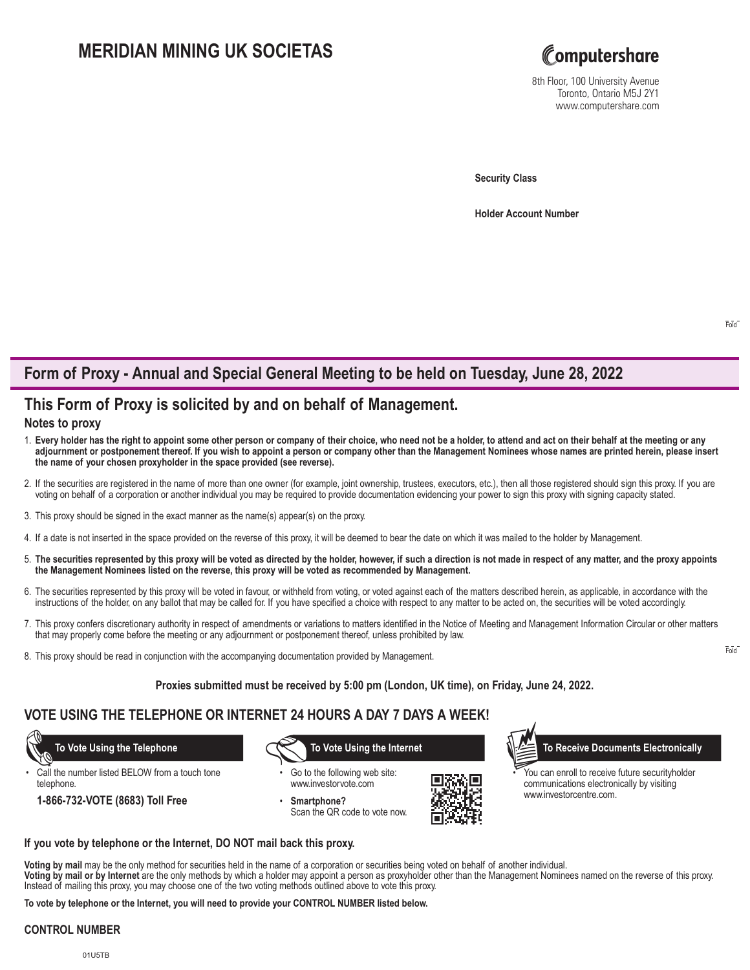# **MERIDIAN MINING UK SOCIETAS**



8th Floor, 100 University Avenue Toronto, Ontario M5J 2Y1 www.computershare.com

**Security Class**

**Holder Account Number** 

# **Form of Proxy - Annual and Special General Meeting to be held on Tuesday, June 28, 2022**

## **This Form of Proxy is solicited by and on behalf of Management.**

### **Notes to proxy**

- 1. **Every holder has the right to appoint some other person or company of their choice, who need not be a holder, to attend and act on their behalf at the meeting or any adjournment or postponement thereof. If you wish to appoint a person or company other than the Management Nominees whose names are printed herein, please insert the name of your chosen proxyholder in the space provided (see reverse).**
- 2. If the securities are registered in the name of more than one owner (for example, joint ownership, trustees, executors, etc.), then all those registered should sign this proxy. If you are voting on behalf of a corporation or another individual you may be required to provide documentation evidencing your power to sign this proxy with signing capacity stated.
- 3. This proxy should be signed in the exact manner as the name(s) appear(s) on the proxy.
- 4. If a date is not inserted in the space provided on the reverse of this proxy, it will be deemed to bear the date on which it was mailed to the holder by Management.
- 5. **The securities represented by this proxy will be voted as directed by the holder, however, if such a direction is not made in respect of any matter, and the proxy appoints the Management Nominees listed on the reverse, this proxy will be voted as recommended by Management.**
- 6. The securities represented by this proxy will be voted in favour, or withheld from voting, or voted against each of the matters described herein, as applicable, in accordance with the instructions of the holder, on any ballot that may be called for. If you have specified a choice with respect to any matter to be acted on, the securities will be voted accordingly.
- 7. This proxy confers discretionary authority in respect of amendments or variations to matters identified in the Notice of Meeting and Management Information Circular or other matters that may properly come before the meeting or any adjournment or postponement thereof, unless prohibited by law.
- 8. This proxy should be read in conjunction with the accompanying documentation provided by Management.

#### **Proxies submitted must be received by 5:00 pm (London, UK time), on Friday, June 24, 2022.**

### **VOTE USING THE TELEPHONE OR INTERNET 24 HOURS A DAY 7 DAYS A WEEK!**

Call the number listed BELOW from a touch tone telephone.

**1-866-732-VOTE (8683) Toll Free**

Go to the following web site: www.investorvote.com

• **Smartphone?** Scan the QR code to vote now.



 **To Vote Using the Telephone To Vote Using the Internet To Receive Documents Electronically**

You can enroll to receive future securityholder communications electronically by visiting www.investorcentre.com.

**If you vote by telephone or the Internet, DO NOT mail back this proxy.**

**Voting by mail** may be the only method for securities held in the name of a corporation or securities being voted on behalf of another individual.

**Voting by mail or by Internet** are the only methods by which a holder may appoint a person as proxyholder other than the Management Nominees named on the reverse of this proxy. Instead of mailing this proxy, you may choose one of the two voting methods outlined above to vote this proxy.

**To vote by telephone or the Internet, you will need to provide your CONTROL NUMBER listed below.**

#### **CONTROL NUMBER**